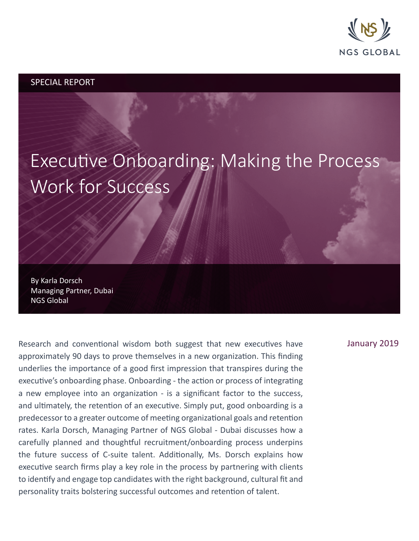

## SPECIAL REPORT

# Executive Onboarding: Making the Process Work for Success

By Karla Dorsch Managing Partner, Dubai NGS Global

Research and conventional wisdom both suggest that new executives have approximately 90 days to prove themselves in a new organization. This finding underlies the importance of a good first impression that transpires during the executive's onboarding phase. Onboarding - the action or process of integrating a new employee into an organization - is a significant factor to the success, and ultimately, the retention of an executive. Simply put, good onboarding is a predecessor to a greater outcome of meeting organizational goals and retention rates. Karla Dorsch, Managing Partner of NGS Global - Dubai discusses how a carefully planned and thoughtful recruitment/onboarding process underpins the future success of C-suite talent. Additionally, Ms. Dorsch explains how executive search firms play a key role in the process by partnering with clients to identify and engage top candidates with the right background, cultural fit and personality traits bolstering successful outcomes and retention of talent.

## January 2019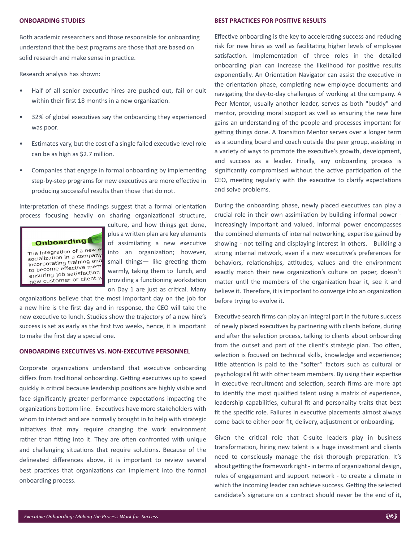#### **ONBOARDING STUDIES**

Both academic researchers and those responsible for onboarding understand that the best programs are those that are based on solid research and make sense in practice.

Research analysis has shown:

- Half of all senior executive hires are pushed out, fail or quit within their first 18 months in a new organization.
- 32% of global executives say the onboarding they experienced was poor.
- Estimates vary, but the cost of a single failed executive level role can be as high as \$2.7 million.
- Companies that engage in formal onboarding by implementing step-by-step programs for new executives are more effective in producing successful results than those that do not.

Interpretation of these findings suggest that a formal orientation process focusing heavily on sharing organizational structure,



culture, and how things get done, plus a written plan are key elements of assimilating a new executive into an organization; however, small things— like greeting them warmly, taking them to lunch, and providing a functioning workstation on Day 1 are just as critical. Many

organizations believe that the most important day on the job for a new hire is the first day and in response, the CEO will take the new executive to lunch. Studies show the trajectory of a new hire's success is set as early as the first two weeks, hence, it is important to make the first day a special one.

#### **ONBOARDING EXECUTIVES VS. NON-EXECUTIVE PERSONNEL**

Corporate organizations understand that executive onboarding differs from traditional onboarding. Getting executives up to speed quickly is critical because leadership positions are highly visible and face significantly greater performance expectations impacting the organizations bottom line. Executives have more stakeholders with whom to interact and are normally brought in to help with strategic initiatives that may require changing the work environment rather than fitting into it. They are often confronted with unique and challenging situations that require solutions. Because of the delineated differences above, it is important to review several best practices that organizations can implement into the formal onboarding process.

#### **BEST PRACTICES FOR POSITIVE RESULTS**

Effective onboarding is the key to accelerating success and reducing risk for new hires as well as facilitating higher levels of employee satisfaction. Implementation of three roles in the detailed onboarding plan can increase the likelihood for positive results exponentially. An Orientation Navigator can assist the executive in the orientation phase, completing new employee documents and navigating the day-to-day challenges of working at the company. A Peer Mentor, usually another leader, serves as both "buddy" and mentor, providing moral support as well as ensuring the new hire gains an understanding of the people and processes important for getting things done. A Transition Mentor serves over a longer term as a sounding board and coach outside the peer group, assisting in a variety of ways to promote the executive's growth, development, and success as a leader. Finally, any onboarding process is significantly compromised without the active participation of the CEO, meeting regularly with the executive to clarify expectations and solve problems.

During the onboarding phase, newly placed executives can play a crucial role in their own assimilation by building informal power increasingly important and valued. Informal power encompasses the combined elements of internal networking, expertise gained by showing - not telling and displaying interest in others. Building a strong internal network, even if a new executive's preferences for behaviors, relationships, attitudes, values and the environment exactly match their new organization's culture on paper, doesn't matter until the members of the organization hear it, see it and believe it. Therefore, it is important to converge into an organization before trying to evolve it.

Executive search firms can play an integral part in the future success of newly placed executives by partnering with clients before, during and after the selection process, talking to clients about onboarding from the outset and part of the client's strategic plan. Too often, selection is focused on technical skills, knowledge and experience; little attention is paid to the "softer" factors such as cultural or psychological fit with other team members. By using their expertise in executive recruitment and selection, search firms are more apt to identify the most qualified talent using a matrix of experience, leadership capabilities, cultural fit and personality traits that best fit the specific role. Failures in executive placements almost always come back to either poor fit, delivery, adjustment or onboarding.

Given the critical role that C-suite leaders play in business transformation, hiring new talent is a huge investment and clients need to consciously manage the risk thorough preparation. It's about getting the framework right - in terms of organizational design, rules of engagement and support network - to create a climate in which the incoming leader can achieve success. Getting the selected candidate's signature on a contract should never be the end of it,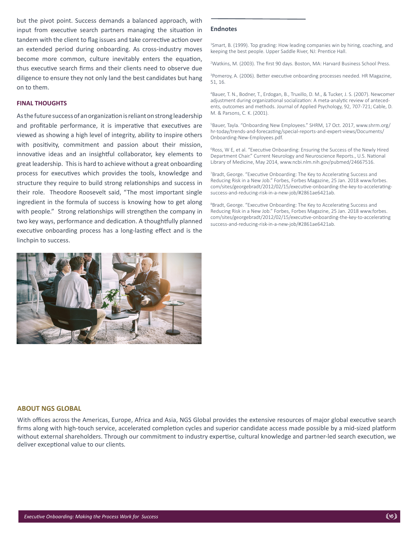but the pivot point. Success demands a balanced approach, with input from executive search partners managing the situation in tandem with the client to flag issues and take corrective action over an extended period during onboarding. As cross-industry moves become more common, culture inevitably enters the equation, thus executive search firms and their clients need to observe due diligence to ensure they not only land the best candidates but hang on to them.

#### **FINAL THOUGHTS**

As the future success of an organization is reliant on strong leadership and profitable performance, it is imperative that executives are viewed as showing a high level of integrity, ability to inspire others with positivity, commitment and passion about their mission, innovative ideas and an insightful collaborator, key elements to great leadership. This is hard to achieve without a great onboarding process for executives which provides the tools, knowledge and structure they require to build strong relationships and success in their role. Theodore Roosevelt said, "The most important single ingredient in the formula of success is knowing how to get along with people." Strong relationships will strengthen the company in two key ways, performance and dedication. A thoughtfully planned executive onboarding process has a long-lasting effect and is the linchpin to success.



#### **Endnotes**

<sup>1</sup>Smart, B. (1999). Top grading: How leading companies win by hiring, coaching, and keeping the best people. Upper Saddle River, NJ: Prentice Hall.

2 Watkins, M. (2003). The first 90 days. Boston, MA: Harvard Business School Press.

3 Pomeroy, A. (2006). Better executive onboarding processes needed. HR Magazine, 51, 16.

4 Bauer, T. N., Bodner, T., Erdogan, B., Truxillo, D. M., & Tucker, J. S. (2007). Newcomer adjustment during organizational socialization: A meta-analytic review of antecedents, outcomes and methods. Journal of Applied Psychology, 92, 707-721; Cable, D. M. & Parsons, C. K. (2001).

5 Bauer, Tayla. "Onboarding New Employees." SHRM, 17 Oct. 2017, www.shrm.org/ hr-today/trends-and-forecasting/special-reports-and-expert-views/Documents/ Onboarding-New-Employees.pdf.

<sup>6</sup>Ross, W E, et al. "Executive Onboarding: Ensuring the Success of the Newly Hired Department Chair." Current Neurology and Neuroscience Reports., U.S. National Library of Medicine, May 2014, www.ncbi.nlm.nih.gov/pubmed/24667516.

<sup>7</sup>Bradt, George. "Executive Onboarding: The Key to Accelerating Success and Reducing Risk in a New Job." Forbes, Forbes Magazine, 25 Jan. 2018 www.forbes. com/sites/georgebradt/2012/02/15/executive-onboarding-the-key-to-acceleratingsuccess-and-reducing-risk-in-a-new-job/#2861ae6421ab.

<sup>8</sup>Bradt, George. "Executive Onboarding: The Key to Accelerating Success and Reducing Risk in a New Job." Forbes, Forbes Magazine, 25 Jan. 2018 www.forbes. com/sites/georgebradt/2012/02/15/executive-onboarding-the-key-to-accelerating success-and-reducing-risk-in-a-new-job/#2861ae6421ab.

#### **ABOUT NGS GLOBAL**

With offices across the Americas, Europe, Africa and Asia, NGS Global provides the extensive resources of major global executive search firms along with high-touch service, accelerated completion cycles and superior candidate access made possible by a mid-sized platform without external shareholders. Through our commitment to industry expertise, cultural knowledge and partner-led search execution, we deliver exceptional value to our clients*.*